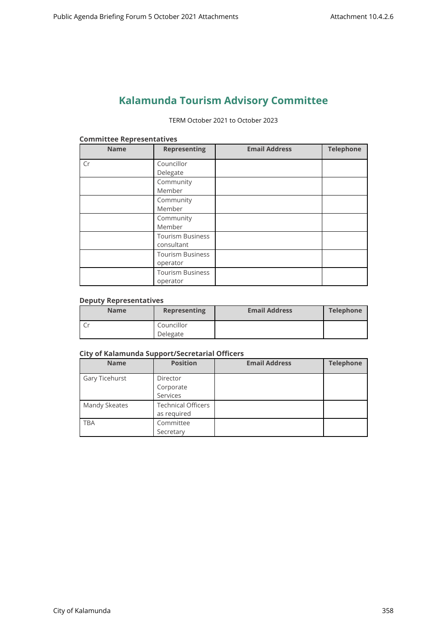# **Kalamunda Tourism Advisory Committee**

TERM October 2021 to October 2023

| <b>Name</b> | <b>Representing</b>                   | <b>Email Address</b> | <b>Telephone</b> |
|-------------|---------------------------------------|----------------------|------------------|
| Cr          | Councillor<br>Delegate                |                      |                  |
|             | Community<br>Member                   |                      |                  |
|             | Community<br>Member                   |                      |                  |
|             | Community<br>Member                   |                      |                  |
|             | <b>Tourism Business</b><br>consultant |                      |                  |
|             | <b>Tourism Business</b><br>operator   |                      |                  |
|             | <b>Tourism Business</b><br>operator   |                      |                  |

#### **Committee Representatives**

## **Deputy Representatives**

| <b>Name</b> | <b>Representing</b> | <b>Email Address</b> | <b>Telephone</b> |
|-------------|---------------------|----------------------|------------------|
|             | Councillor          |                      |                  |
|             | Delegate            |                      |                  |

#### **City of Kalamunda Support/Secretarial Officers**

| <b>Name</b>    | <b>Position</b>           | <b>Email Address</b> | <b>Telephone</b> |
|----------------|---------------------------|----------------------|------------------|
| Gary Ticehurst | Director                  |                      |                  |
|                | Corporate                 |                      |                  |
|                | Services                  |                      |                  |
| Mandy Skeates  | <b>Technical Officers</b> |                      |                  |
|                | as required               |                      |                  |
| <b>TBA</b>     | Committee                 |                      |                  |
|                | Secretary                 |                      |                  |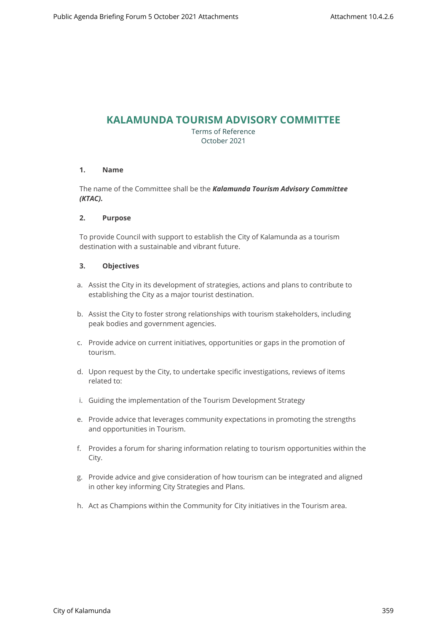## **KALAMUNDA TOURISM ADVISORY COMMITTEE**

Terms of Reference October 2021

## **1. Name**

The name of the Committee shall be the *Kalamunda Tourism Advisory Committee (KTAC).*

## **2. Purpose**

To provide Council with support to establish the City of Kalamunda as a tourism destination with a sustainable and vibrant future.

## **3. Objectives**

- a. Assist the City in its development of strategies, actions and plans to contribute to establishing the City as a major tourist destination.
- b. Assist the City to foster strong relationships with tourism stakeholders, including peak bodies and government agencies.
- c. Provide advice on current initiatives, opportunities or gaps in the promotion of tourism.
- d. Upon request by the City, to undertake specific investigations, reviews of items related to:
- i. Guiding the implementation of the Tourism Development Strategy
- e. Provide advice that leverages community expectations in promoting the strengths and opportunities in Tourism.
- f. Provides a forum for sharing information relating to tourism opportunities within the City.
- g. Provide advice and give consideration of how tourism can be integrated and aligned in other key informing City Strategies and Plans.
- h. Act as Champions within the Community for City initiatives in the Tourism area.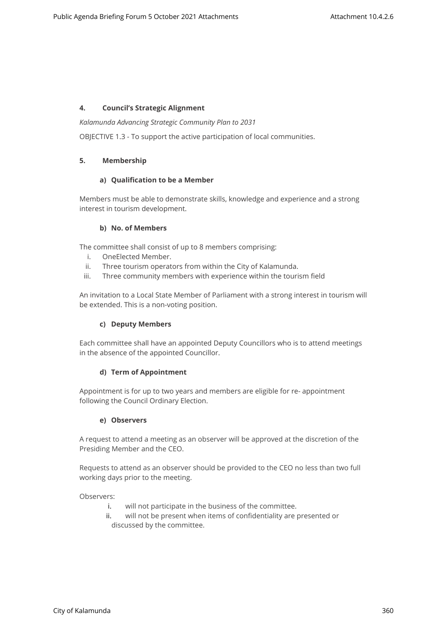## **4. Council's Strategic Alignment**

*Kalamunda Advancing Strategic Community Plan to 2031*

OBJECTIVE 1.3 - To support the active participation of local communities.

## **5. Membership**

#### **a) Qualification to be a Member**

Members must be able to demonstrate skills, knowledge and experience and a strong interest in tourism development.

#### **b) No. of Members**

The committee shall consist of up to 8 members comprising:

- i. OneElected Member.
- ii. Three tourism operators from within the City of Kalamunda.
- iii. Three community members with experience within the tourism field

An invitation to a Local State Member of Parliament with a strong interest in tourism will be extended. This is a non-voting position.

## **c) Deputy Members**

Each committee shall have an appointed Deputy Councillors who is to attend meetings in the absence of the appointed Councillor.

## **d) Term of Appointment**

Appointment is for up to two years and members are eligible for re- appointment following the Council Ordinary Election.

#### **e) Observers**

A request to attend a meeting as an observer will be approved at the discretion of the Presiding Member and the CEO.

Requests to attend as an observer should be provided to the CEO no less than two full working days prior to the meeting.

Observers:

- i. will not participate in the business of the committee.
- ii. will not be present when items of confidentiality are presented or discussed by the committee.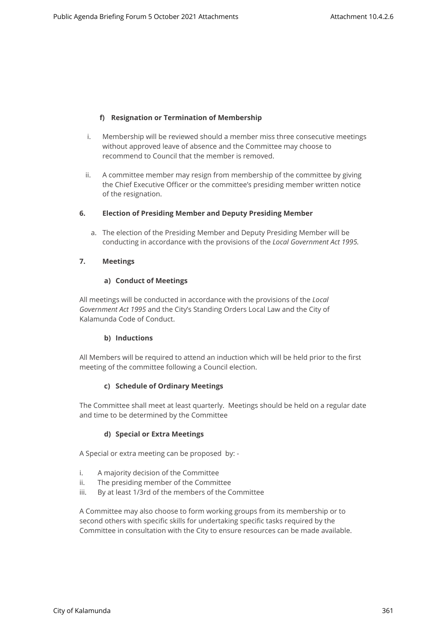## **f) Resignation or Termination of Membership**

- i. Membership will be reviewed should a member miss three consecutive meetings without approved leave of absence and the Committee may choose to recommend to Council that the member is removed.
- ii. A committee member may resign from membership of the committee by giving the Chief Executive Officer or the committee's presiding member written notice of the resignation.

#### **6. Election of Presiding Member and Deputy Presiding Member**

a. The election of the Presiding Member and Deputy Presiding Member will be conducting in accordance with the provisions of the *Local Government Act 1995.*

#### **7. Meetings**

#### **a) Conduct of Meetings**

All meetings will be conducted in accordance with the provisions of the *Local Government Act 1995* and the City's Standing Orders Local Law and the City of Kalamunda Code of Conduct.

## **b) Inductions**

All Members will be required to attend an induction which will be held prior to the first meeting of the committee following a Council election.

## **c) Schedule of Ordinary Meetings**

The Committee shall meet at least quarterly. Meetings should be held on a regular date and time to be determined by the Committee

## **d) Special or Extra Meetings**

A Special or extra meeting can be proposed by: -

- i. A majority decision of the Committee
- ii. The presiding member of the Committee
- iii. By at least 1/3rd of the members of the Committee

A Committee may also choose to form working groups from its membership or to second others with specific skills for undertaking specific tasks required by the Committee in consultation with the City to ensure resources can be made available.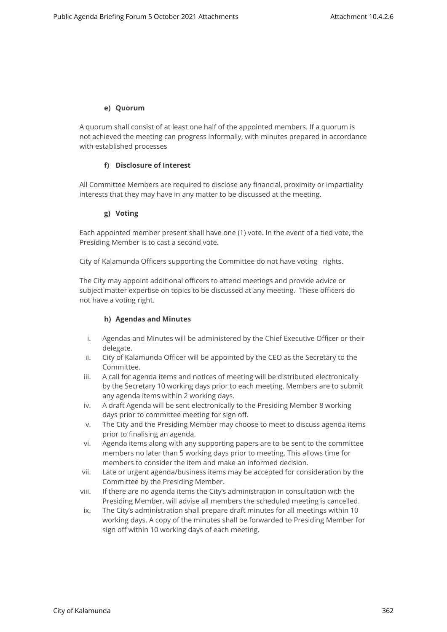## **e) Quorum**

A quorum shall consist of at least one half of the appointed members. If a quorum is not achieved the meeting can progress informally, with minutes prepared in accordance with established processes

## **f) Disclosure of Interest**

All Committee Members are required to disclose any financial, proximity or impartiality interests that they may have in any matter to be discussed at the meeting.

## **g) Voting**

Each appointed member present shall have one (1) vote. In the event of a tied vote, the Presiding Member is to cast a second vote.

City of Kalamunda Officers supporting the Committee do not have voting rights.

The City may appoint additional officers to attend meetings and provide advice or subject matter expertise on topics to be discussed at any meeting. These officers do not have a voting right.

## **h) Agendas and Minutes**

- i. Agendas and Minutes will be administered by the Chief Executive Officer or their delegate.
- ii. City of Kalamunda Officer will be appointed by the CEO as the Secretary to the Committee.
- iii. A call for agenda items and notices of meeting will be distributed electronically by the Secretary 10 working days prior to each meeting. Members are to submit any agenda items within 2 working days.
- iv. A draft Agenda will be sent electronically to the Presiding Member 8 working days prior to committee meeting for sign off.
- v. The City and the Presiding Member may choose to meet to discuss agenda items prior to finalising an agenda.
- vi. Agenda items along with any supporting papers are to be sent to the committee members no later than 5 working days prior to meeting. This allows time for members to consider the item and make an informed decision.
- vii. Late or urgent agenda/business items may be accepted for consideration by the Committee by the Presiding Member.
- viii. If there are no agenda items the City's administration in consultation with the Presiding Member, will advise all members the scheduled meeting is cancelled.
- ix. The City's administration shall prepare draft minutes for all meetings within 10 working days. A copy of the minutes shall be forwarded to Presiding Member for sign off within 10 working days of each meeting.